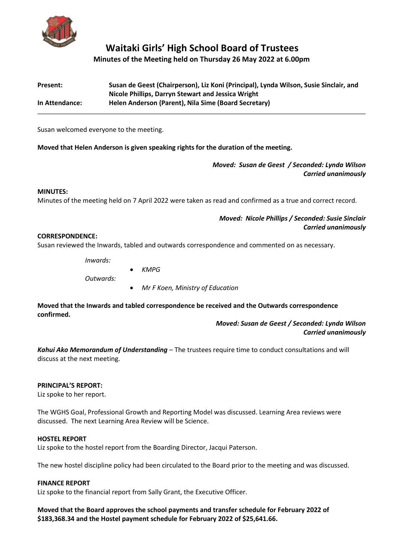

# **Waitaki Girls' High School Board of Trustees Minutes of the Meeting held on Thursday 26 May 2022 at 6.00pm**

| Present:       | Susan de Geest (Chairperson), Liz Koni (Principal), Lynda Wilson, Susie Sinclair, and |
|----------------|---------------------------------------------------------------------------------------|
|                | Nicole Phillips, Darryn Stewart and Jessica Wright                                    |
| In Attendance: | Helen Anderson (Parent), Nila Sime (Board Secretary)                                  |

Susan welcomed everyone to the meeting.

**Moved that Helen Anderson is given speaking rights for the duration of the meeting.**

*Moved: Susan de Geest / Seconded: Lynda Wilson Carried unanimously*

#### **MINUTES:**

Minutes of the meeting held on 7 April 2022 were taken as read and confirmed as a true and correct record.

*Moved: Nicole Phillips / Seconded: Susie Sinclair Carried unanimously*

#### **CORRESPONDENCE:**

Susan reviewed the Inwards, tabled and outwards correspondence and commented on as necessary.

| Inwards:  |                                  |
|-----------|----------------------------------|
|           | KMPG                             |
| Outwards: |                                  |
|           | Mr F Koen, Ministry of Education |

**Moved that the Inwards and tabled correspondence be received and the Outwards correspondence confirmed.**

> *Moved: Susan de Geest / Seconded: Lynda Wilson Carried unanimously*

*Kahui Ako Memorandum of Understanding* – The trustees require time to conduct consultations and will discuss at the next meeting.

#### **PRINCIPAL'S REPORT:**

Liz spoke to her report.

The WGHS Goal, Professional Growth and Reporting Model was discussed. Learning Area reviews were discussed. The next Learning Area Review will be Science.

#### **HOSTEL REPORT**

Liz spoke to the hostel report from the Boarding Director, Jacqui Paterson.

The new hostel discipline policy had been circulated to the Board prior to the meeting and was discussed.

#### **FINANCE REPORT**

Liz spoke to the financial report from Sally Grant, the Executive Officer.

**Moved that the Board approves the school payments and transfer schedule for February 2022 of \$183,368.34 and the Hostel payment schedule for February 2022 of \$25,641.66.**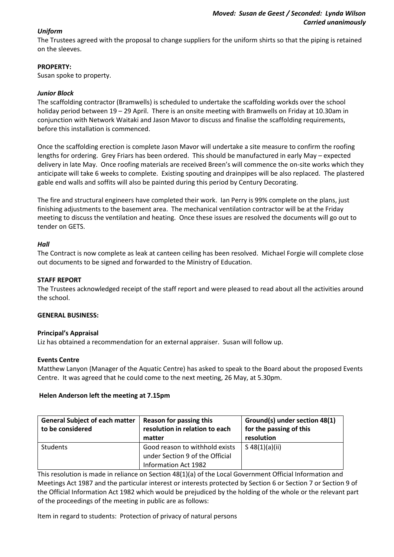# *Uniform*

The Trustees agreed with the proposal to change suppliers for the uniform shirts so that the piping is retained on the sleeves.

# **PROPERTY:**

Susan spoke to property.

# *Junior Block*

The scaffolding contractor (Bramwells) is scheduled to undertake the scaffolding workds over the school holiday period between 19 – 29 April. There is an onsite meeting with Bramwells on Friday at 10.30am in conjunction with Network Waitaki and Jason Mavor to discuss and finalise the scaffolding requirements, before this installation is commenced.

Once the scaffolding erection is complete Jason Mavor will undertake a site measure to confirm the roofing lengths for ordering. Grey Friars has been ordered. This should be manufactured in early May – expected delivery in late May. Once roofing materials are received Breen's will commence the on-site works which they anticipate will take 6 weeks to complete. Existing spouting and drainpipes will be also replaced. The plastered gable end walls and soffits will also be painted during this period by Century Decorating.

The fire and structural engineers have completed their work. Ian Perry is 99% complete on the plans, just finishing adjustments to the basement area. The mechanical ventilation contractor will be at the Friday meeting to discuss the ventilation and heating. Once these issues are resolved the documents will go out to tender on GETS.

### *Hall*

The Contract is now complete as leak at canteen ceiling has been resolved. Michael Forgie will complete close out documents to be signed and forwarded to the Ministry of Education.

### **STAFF REPORT**

The Trustees acknowledged receipt of the staff report and were pleased to read about all the activities around the school.

### **GENERAL BUSINESS:**

### **Principal's Appraisal**

Liz has obtained a recommendation for an external appraiser. Susan will follow up.

### **Events Centre**

Matthew Lanyon (Manager of the Aquatic Centre) has asked to speak to the Board about the proposed Events Centre. It was agreed that he could come to the next meeting, 26 May, at 5.30pm.

#### **Helen Anderson left the meeting at 7.15pm**

| <b>General Subject of each matter</b><br>to be considered | <b>Reason for passing this</b><br>resolution in relation to each<br>matter                | Ground(s) under section 48(1)<br>for the passing of this<br>resolution |
|-----------------------------------------------------------|-------------------------------------------------------------------------------------------|------------------------------------------------------------------------|
| Students                                                  | Good reason to withhold exists<br>under Section 9 of the Official<br>Information Act 1982 | $S$ 48(1)(a)(ii)                                                       |

This resolution is made in reliance on Section 48(1)(a) of the Local Government Official Information and Meetings Act 1987 and the particular interest or interests protected by Section 6 or Section 7 or Section 9 of the Official Information Act 1982 which would be prejudiced by the holding of the whole or the relevant part of the proceedings of the meeting in public are as follows:

Item in regard to students: Protection of privacy of natural persons